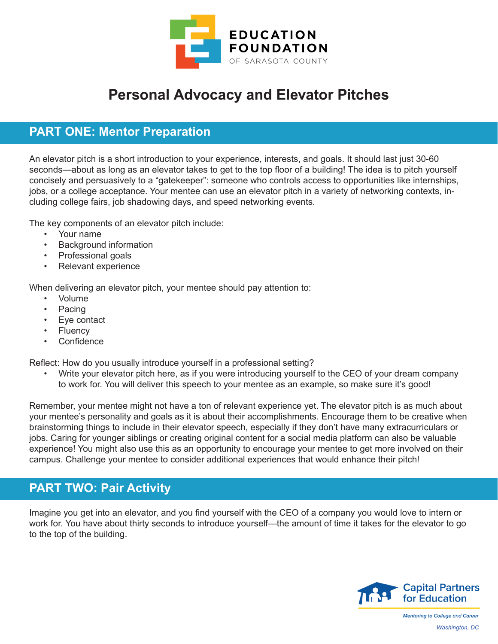

## **Personal Advocacy and Elevator Pitches**

## **PART ONE: Mentor Preparation**

An elevator pitch is a short introduction to your experience, interests, and goals. It should last just 30-60 seconds—about as long as an elevator takes to get to the top floor of a building! The idea is to pitch yourself concisely and persuasively to a "gatekeeper": someone who controls access to opportunities like internships, jobs, or a college acceptance. Your mentee can use an elevator pitch in a variety of networking contexts, including college fairs, job shadowing days, and speed networking events.

The key components of an elevator pitch include:

- Your name
- **Background information**
- Professional goals
- Relevant experience

When delivering an elevator pitch, your mentee should pay attention to:

- Volume
- Pacing
- Eye contact
- **Fluency**
- Confidence

Reflect: How do you usually introduce yourself in a professional setting?

• Write your elevator pitch here, as if you were introducing yourself to the CEO of your dream company to work for. You will deliver this speech to your mentee as an example, so make sure it's good!

Remember, your mentee might not have a ton of relevant experience yet. The elevator pitch is as much about your mentee's personality and goals as it is about their accomplishments. Encourage them to be creative when brainstorming things to include in their elevator speech, especially if they don't have many extracurriculars or jobs. Caring for younger siblings or creating original content for a social media platform can also be valuable experience! You might also use this as an opportunity to encourage your mentee to get more involved on their campus. Challenge your mentee to consider additional experiences that would enhance their pitch!

## **PART TWO: Pair Activity**

Imagine you get into an elevator, and you find yourself with the CEO of a company you would love to intern or work for. You have about thirty seconds to introduce yourself—the amount of time it takes for the elevator to go to the top of the building.



**Mentoring to College and Career** *Washington, DC*